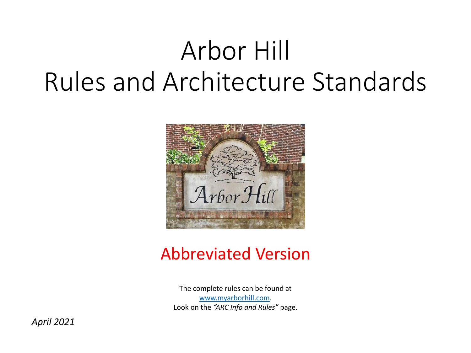# Arbor Hill Rules and Architecture Standards



#### Abbreviated Version

The complete rules can be found at [www.myarborhill.com.](http://www.myarborhill.com/) Look on the *"ARC Info and Rules"* page.

*April 2021*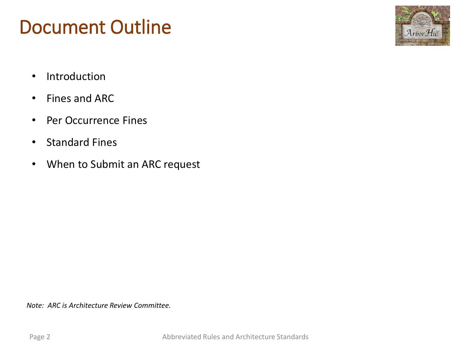### Document Outline



- Introduction
- Fines and ARC
- Per Occurrence Fines
- Standard Fines
- When to Submit an ARC request

*Note: ARC is Architecture Review Committee.*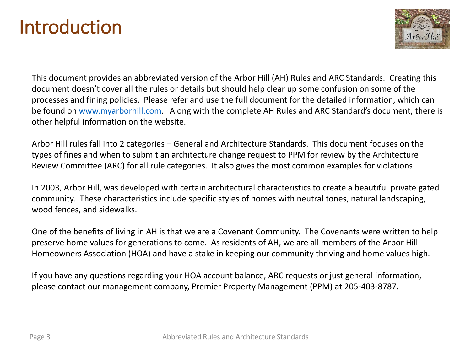### Introduction



This document provides an abbreviated version of the Arbor Hill (AH) Rules and ARC Standards. Creating this document doesn't cover all the rules or details but should help clear up some confusion on some of the processes and fining policies. Please refer and use the full document for the detailed information, which can be found on [www.myarborhill.com](http://www.myarborhill.com/). Along with the complete AH Rules and ARC Standard's document, there is other helpful information on the website.

Arbor Hill rules fall into 2 categories – General and Architecture Standards. This document focuses on the types of fines and when to submit an architecture change request to PPM for review by the Architecture Review Committee (ARC) for all rule categories. It also gives the most common examples for violations.

In 2003, Arbor Hill, was developed with certain architectural characteristics to create a beautiful private gated community. These characteristics include specific styles of homes with neutral tones, natural landscaping, wood fences, and sidewalks.

One of the benefits of living in AH is that we are a Covenant Community. The Covenants were written to help preserve home values for generations to come. As residents of AH, we are all members of the Arbor Hill Homeowners Association (HOA) and have a stake in keeping our community thriving and home values high.

If you have any questions regarding your HOA account balance, ARC requests or just general information, please contact our management company, Premier Property Management (PPM) at 205-403-8787.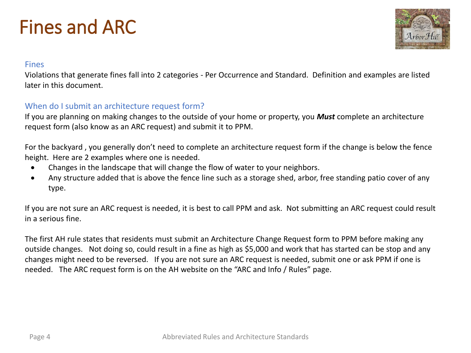# Fines and ARC



#### Fines

Violations that generate fines fall into 2 categories - Per Occurrence and Standard. Definition and examples are listed later in this document.

#### When do I submit an architecture request form?

If you are planning on making changes to the outside of your home or property, you *Must* complete an architecture request form (also know as an ARC request) and submit it to PPM.

For the backyard , you generally don't need to complete an architecture request form if the change is below the fence height. Here are 2 examples where one is needed.

- Changes in the landscape that will change the flow of water to your neighbors.
- Any structure added that is above the fence line such as a storage shed, arbor, free standing patio cover of any type.

If you are not sure an ARC request is needed, it is best to call PPM and ask. Not submitting an ARC request could result in a serious fine.

The first AH rule states that residents must submit an Architecture Change Request form to PPM before making any outside changes. Not doing so, could result in a fine as high as \$5,000 and work that has started can be stop and any changes might need to be reversed. If you are not sure an ARC request is needed, submit one or ask PPM if one is needed. The ARC request form is on the AH website on the "ARC and Info / Rules" page.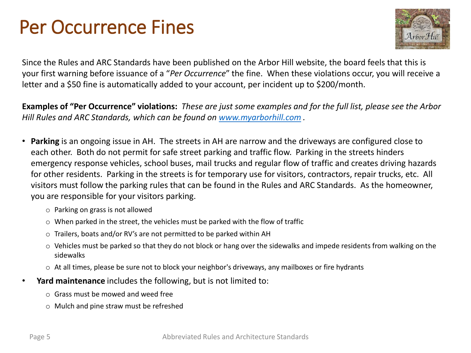## Per Occurrence Fines



Since the Rules and ARC Standards have been published on the Arbor Hill website, the board feels that this is your first warning before issuance of a "*Per Occurrence*" the fine. When these violations occur, you will receive a letter and a \$50 fine is automatically added to your account, per incident up to \$200/month.

**Examples of "Per Occurrence" violations:** *These are just some examples and for the full list, please see the Arbor Hill Rules and ARC Standards, which can be found on [www.myarborhill.com](http://www.myarborhill.com/) .* 

- **Parking** is an ongoing issue in AH. The streets in AH are narrow and the driveways are configured close to each other. Both do not permit for safe street parking and traffic flow. Parking in the streets hinders emergency response vehicles, school buses, mail trucks and regular flow of traffic and creates driving hazards for other residents. Parking in the streets is for temporary use for visitors, contractors, repair trucks, etc. All visitors must follow the parking rules that can be found in the Rules and ARC Standards. As the homeowner, you are responsible for your visitors parking.
	- o Parking on grass is not allowed
	- o When parked in the street, the vehicles must be parked with the flow of traffic
	- o Trailers, boats and/or RV's are not permitted to be parked within AH
	- $\circ$  Vehicles must be parked so that they do not block or hang over the sidewalks and impede residents from walking on the sidewalks
	- o At all times, please be sure not to block your neighbor's driveways, any mailboxes or fire hydrants
- **Yard maintenance** includes the following, but is not limited to:
	- $\circ$  Grass must be mowed and weed free
	- o Mulch and pine straw must be refreshed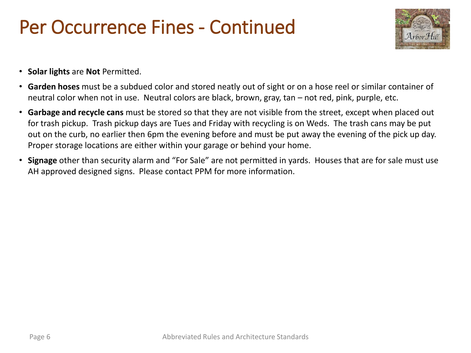### Per Occurrence Fines - Continued



- **Solar lights** are **Not** Permitted.
- **Garden hoses** must be a subdued color and stored neatly out of sight or on a hose reel or similar container of neutral color when not in use. Neutral colors are black, brown, gray, tan – not red, pink, purple, etc.
- **Garbage and recycle cans** must be stored so that they are not visible from the street, except when placed out for trash pickup. Trash pickup days are Tues and Friday with recycling is on Weds. The trash cans may be put out on the curb, no earlier then 6pm the evening before and must be put away the evening of the pick up day. Proper storage locations are either within your garage or behind your home.
- **Signage** other than security alarm and "For Sale" are not permitted in yards. Houses that are for sale must use AH approved designed signs. Please contact PPM for more information.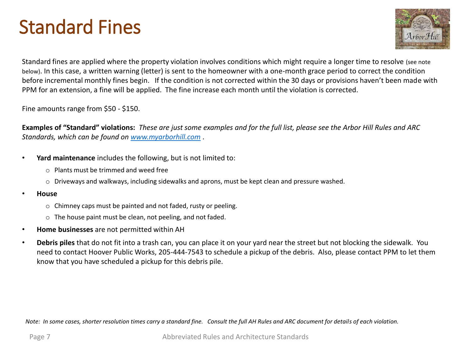# Standard Fines



Standard fines are applied where the property violation involves conditions which might require a longer time to resolve (see note below). In this case, a written warning (letter) is sent to the homeowner with a one-month grace period to correct the condition before incremental monthly fines begin. If the condition is not corrected within the 30 days or provisions haven't been made with PPM for an extension, a fine will be applied. The fine increase each month until the violation is corrected.

Fine amounts range from \$50 - \$150.

**Examples of "Standard" violations:** *These are just some examples and for the full list, please see the Arbor Hill Rules and ARC Standards, which can be found on [www.myarborhill.com](http://www.myarborhill.com/) .*

- **Yard maintenance** includes the following, but is not limited to:
	- o Plants must be trimmed and weed free
	- o Driveways and walkways, including sidewalks and aprons, must be kept clean and pressure washed.
- **House**
	- o Chimney caps must be painted and not faded, rusty or peeling.
	- o The house paint must be clean, not peeling, and not faded.
- **Home businesses** are not permitted within AH
- **Debris piles** that do not fit into a trash can, you can place it on your yard near the street but not blocking the sidewalk. You need to contact Hoover Public Works, 205-444-7543 to schedule a pickup of the debris. Also, please contact PPM to let them know that you have scheduled a pickup for this debris pile.

*Note: In some cases, shorter resolution times carry a standard fine. Consult the full AH Rules and ARC document for details of each violation.*